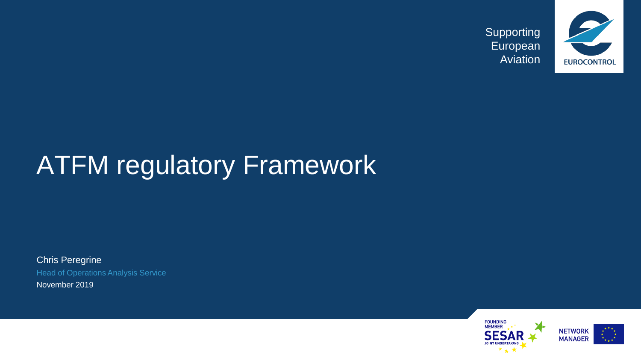

# **ATFM regulatory Framework**

Chris Peregrine Head of Operations Analysis Service November 2019

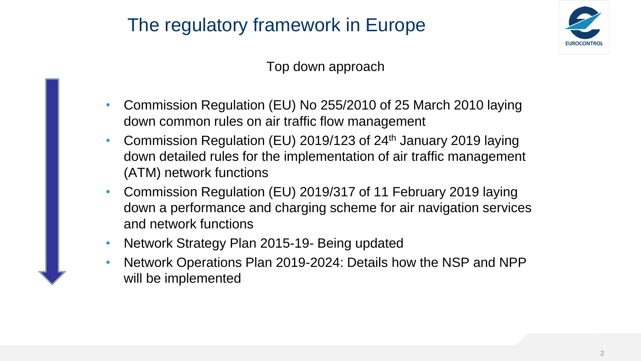

#### Top down approach

- Commission Regulation (EU) No 255/2010 of 25 March 2010 laying down common rules on air traffic flow management
- Commission Regulation (EU) 2019/123 of 24<sup>th</sup> January 2019 laying down detailed rules for the implementation of air traffic management (ATM) network functions
- Commission Regulation (EU) 2019/317 of 11 February 2019 laying down a performance and charging scheme for air navigation services and network functions
- Network Strategy Plan 2015-19- Being updated
- Network Operations Plan 2019-2024: Details how the NSP and NPP will be implemented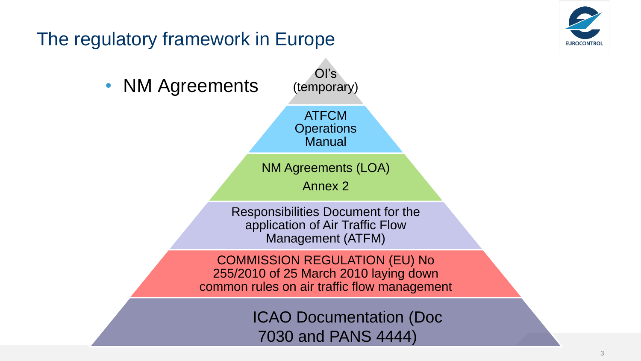

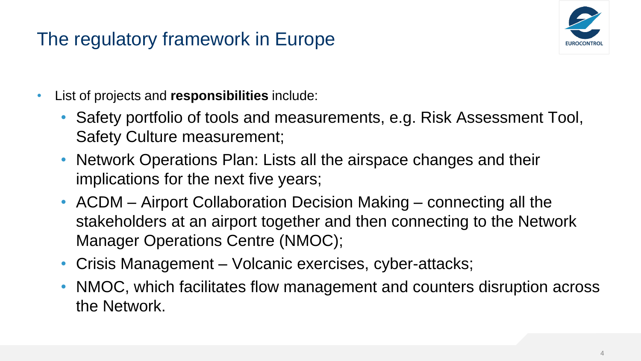

- List of projects and **responsibilities** include:
	- Safety portfolio of tools and measurements, e.g. Risk Assessment Tool, Safety Culture measurement;
	- Network Operations Plan: Lists all the airspace changes and their implications for the next five years;
	- ACDM Airport Collaboration Decision Making connecting all the stakeholders at an airport together and then connecting to the Network Manager Operations Centre (NMOC);
	- Crisis Management Volcanic exercises, cyber-attacks;
	- NMOC, which facilitates flow management and counters disruption across the Network.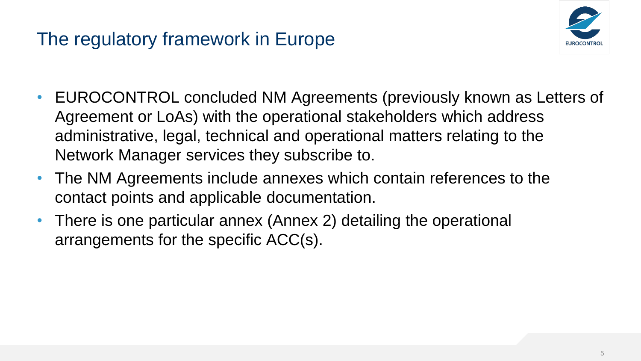

- EUROCONTROL concluded NM Agreements (previously known as Letters of Agreement or LoAs) with the operational stakeholders which address administrative, legal, technical and operational matters relating to the Network Manager services they subscribe to.
- The NM Agreements include annexes which contain references to the contact points and applicable documentation.
- There is one particular annex (Annex 2) detailing the operational arrangements for the specific ACC(s).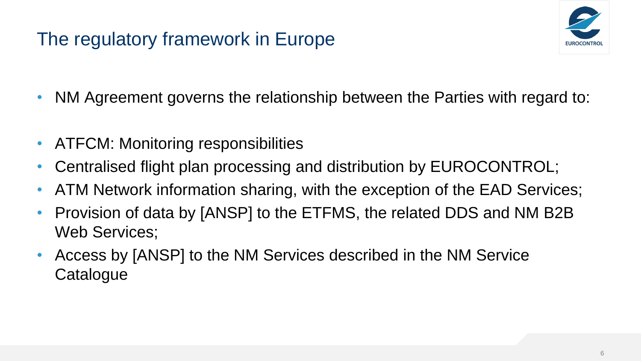

- NM Agreement governs the relationship between the Parties with regard to:
- ATFCM: Monitoring responsibilities
- Centralised flight plan processing and distribution by EUROCONTROL;
- ATM Network information sharing, with the exception of the EAD Services;
- Provision of data by [ANSP] to the ETFMS, the related DDS and NM B2B Web Services;
- Access by [ANSP] to the NM Services described in the NM Service **Catalogue**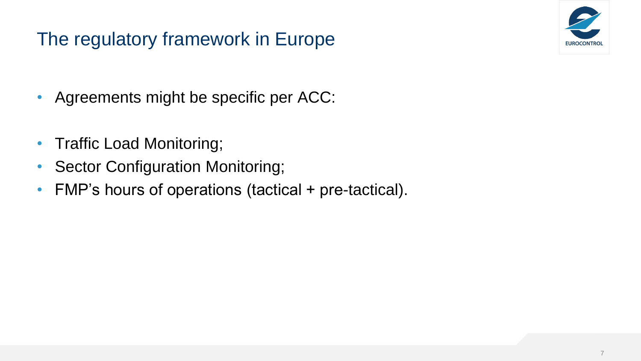

- Agreements might be specific per ACC:
- Traffic Load Monitoring;
- Sector Configuration Monitoring;
- FMP's hours of operations (tactical + pre-tactical).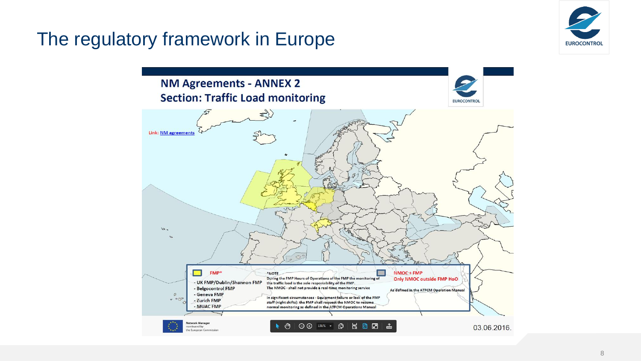

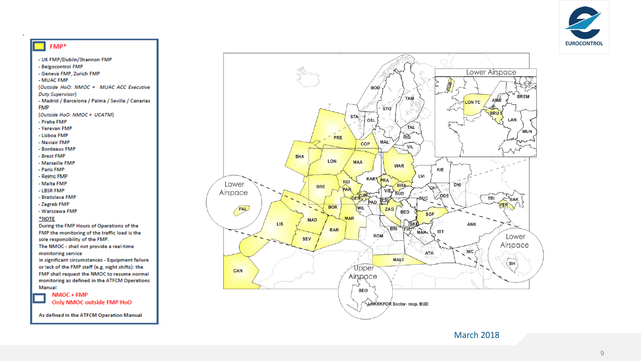



- Bordeaux FMP
- Brest FMP

**FMP** 

- Marseille FMP
- Paris FMP
- Reims FMP
- Malta FMP
- LBSR FMP
- Bratislava FMP
- Zagreb FMP
- Warszawa FMP

#### \*NOTE

During the FMP Hours of Operations of the FMP the monitoring of the traffic load is the sole responsibility of the FMP.

The NMOC - shall not provide a real-time monitoring service

In significant circumstances - Equipment failure or lack of the FMP staff (e.g. night shifts): the FMP shall request the NMOC to resume normal monitoring as defined in the ATFCM Operations Manual

NMOC + FMP Only NMOC outside FMP HoO

As defined in the ATFCM Operation Manual



March 2018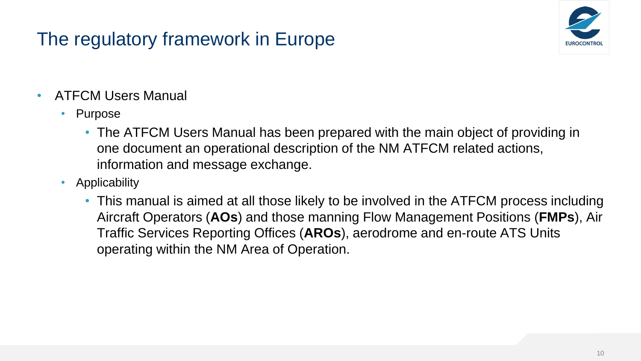

- ATFCM Users Manual
	- Purpose
		- The ATFCM Users Manual has been prepared with the main object of providing in one document an operational description of the NM ATFCM related actions, information and message exchange.
	- Applicability
		- This manual is aimed at all those likely to be involved in the ATFCM process including Aircraft Operators (**AOs**) and those manning Flow Management Positions (**FMPs**), Air Traffic Services Reporting Offices (**AROs**), aerodrome and en-route ATS Units operating within the NM Area of Operation.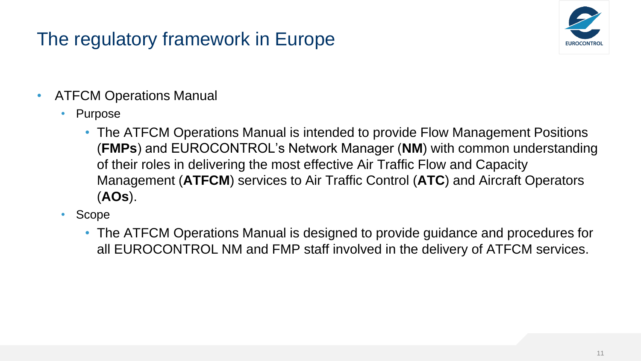

- ATFCM Operations Manual
	- Purpose
		- The ATFCM Operations Manual is intended to provide Flow Management Positions (**FMPs**) and EUROCONTROL's Network Manager (**NM**) with common understanding of their roles in delivering the most effective Air Traffic Flow and Capacity Management (**ATFCM**) services to Air Traffic Control (**ATC**) and Aircraft Operators (**AOs**).
	- Scope
		- The ATFCM Operations Manual is designed to provide guidance and procedures for all EUROCONTROL NM and FMP staff involved in the delivery of ATFCM services.